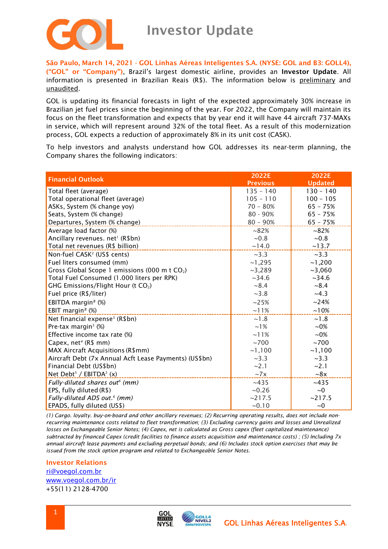

São Paulo, March 14, 2021 - GOL Linhas Aéreas Inteligentes S.A. (NYSE: GOL and B3: GOLL4), ("GOL" or "Company"), Brazil's largest domestic airline, provides an Investor Update. All information is presented in Brazilian Reais (R\$). The information below is preliminary and unaudited.

GOL is updating its financial forecasts in light of the expected approximately 30% increase in Brazilian jet fuel prices since the beginning of the year. For 2022, the Company will maintain its focus on the fleet transformation and expects that by year end it will have 44 aircraft 737-MAXs in service, which will represent around 32% of the total fleet. As a result of this modernization process, GOL expects a reduction of approximately 8% in its unit cost (CASK).

To help investors and analysts understand how GOL addresses its near-term planning, the Company shares the following indicators:

| <b>Financial Outlook</b>                                  | 2022E           | 2022E          |
|-----------------------------------------------------------|-----------------|----------------|
|                                                           | <b>Previous</b> | <b>Updated</b> |
| Total fleet (average)                                     | $135 - 140$     | $130 - 140$    |
| Total operational fleet (average)                         | $105 - 110$     | $100 - 105$    |
| ASKs, System (% change yoy)                               | $70 - 80%$      | $65 - 75%$     |
| Seats, System (% change)                                  | $80 - 90%$      | $65 - 75%$     |
| Departures, System (% change)                             | $80 - 90%$      | $65 - 75%$     |
| Average load factor (%)                                   | $~82\%$         | $~182\%$       |
| Ancillary revenues. net <sup>1</sup> (R\$bn)              | ~10.8           | ~10.8          |
| Total net revenues (R\$ billion)                          | ~14.0           | ~13.7          |
| Non-fuel CASK <sup>2</sup> (US\$ cents)                   | ~23.3           | ~23.3          |
| Fuel liters consumed (mm)                                 | ~1,295          | ~1,200         |
| Gross Global Scope 1 emissions (000 m t CO <sub>2</sub> ) | ~2,289          | ~1060          |
| Total Fuel Consumed (1.000 liters per RPK)                | ~234.6          | ~234.6         |
| GHG Emissions/Flight Hour (t CO <sub>2</sub> )            | ~18.4           | ~18.4          |
| Fuel price (R\$/liter)                                    | ~1.8            | ~14.3          |
| EBITDA margin <sup>2</sup> (%)                            | ~25%            | ~24%           |
| EBIT margin <sup>2</sup> (%)                              | $~11\%$         | ~10%           |
| Net financial expense <sup>3</sup> (R\$bn)                | ~1.8            | ~1.8           |
| Pre-tax margin <sup>3</sup> (%)                           | $~1\%$          | $~10\%$        |
| Effective income tax rate (%)                             | $~11\%$         | $~10\%$        |
| Capex, net <sup>4</sup> (R\$ mm)                          | ~100            | ~100           |
| MAX Aircraft Acquisitions (R\$mm)                         | ~1,100          | ~1,100         |
| Aircraft Debt (7x Annual Acft Lease Payments) (US\$bn)    | ~23.3           | ~23.3          |
| Financial Debt (US\$bn)                                   | ~2.1            | ~2.1           |
| Net Debt <sup>5</sup> / EBITDA <sup>2</sup> (x)           | $\sim 7x$       | ~18x           |
| Fully-diluted shares out <sup>6</sup> (mm)                | ~1435           | ~1435          |
| EPS, fully diluted (R\$)                                  | ~10.26          | ~1             |
| Fully-diluted ADS out. <sup>6</sup> (mm)                  | ~217.5          | ~217.5         |
| EPADS, fully diluted (US\$)                               | $~10^{-}$       | ~1             |

*(1) Cargo. loyalty. buy-on-board and other ancillary revenues; (2) Recurring operating results, does not include nonrecurring maintenance costs related to fleet transformation; (3) Excluding currency gains and losses and Unrealized losses on Exchangeable Senior Notes; (4) Capex, net is calculated as Gross capex (fleet capitalized maintenance) subtracted by financed Capex (credit facilities to finance assets acquisition and maintenance costs) ; (5) Including 7x annual aircraft lease payments and excluding perpetual bonds; and (6) Includes stock option exercises that may be issued from the stock option program and related to Exchangeable Senior Notes.*

## Investor Relations

[ri@voegol.com.br](mailto:ri@voegol.com.br) [www.voegol.com.br/ir](http://www.voegol.com.br/ir) +55(11) 2128-4700